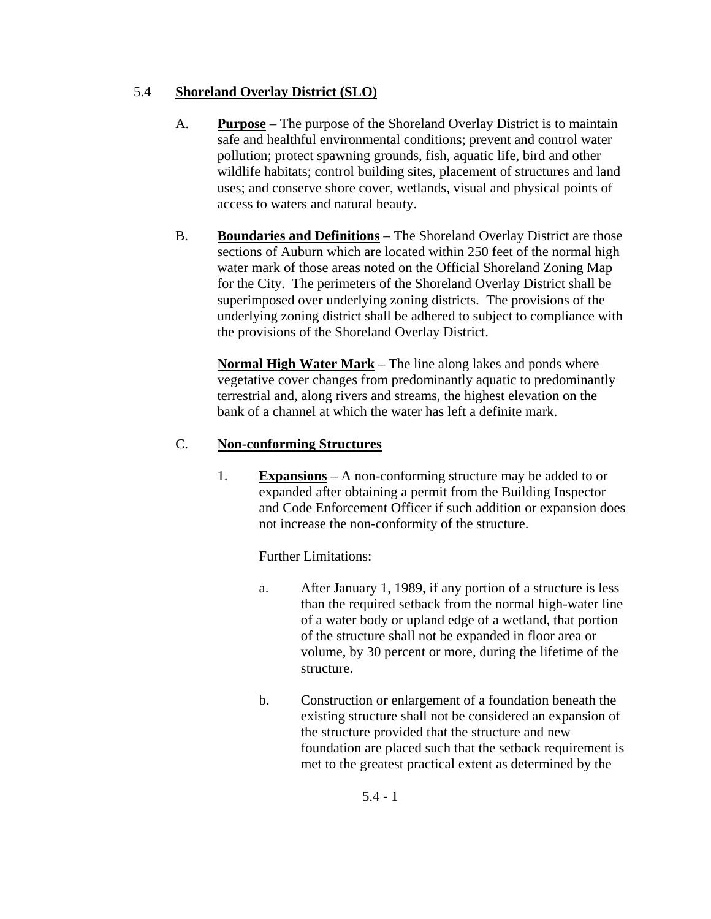### 5.4 **Shoreland Overlay District (SLO)**

- A. **Purpose** The purpose of the Shoreland Overlay District is to maintain safe and healthful environmental conditions; prevent and control water pollution; protect spawning grounds, fish, aquatic life, bird and other wildlife habitats; control building sites, placement of structures and land uses; and conserve shore cover, wetlands, visual and physical points of access to waters and natural beauty.
- B. **Boundaries and Definitions** The Shoreland Overlay District are those sections of Auburn which are located within 250 feet of the normal high water mark of those areas noted on the Official Shoreland Zoning Map for the City. The perimeters of the Shoreland Overlay District shall be superimposed over underlying zoning districts. The provisions of the underlying zoning district shall be adhered to subject to compliance with the provisions of the Shoreland Overlay District.

**Normal High Water Mark** – The line along lakes and ponds where vegetative cover changes from predominantly aquatic to predominantly terrestrial and, along rivers and streams, the highest elevation on the bank of a channel at which the water has left a definite mark.

## C. **Non-conforming Structures**

1. **Expansions** – A non-conforming structure may be added to or expanded after obtaining a permit from the Building Inspector and Code Enforcement Officer if such addition or expansion does not increase the non-conformity of the structure.

Further Limitations:

- a. After January 1, 1989, if any portion of a structure is less than the required setback from the normal high-water line of a water body or upland edge of a wetland, that portion of the structure shall not be expanded in floor area or volume, by 30 percent or more, during the lifetime of the structure.
- b. Construction or enlargement of a foundation beneath the existing structure shall not be considered an expansion of the structure provided that the structure and new foundation are placed such that the setback requirement is met to the greatest practical extent as determined by the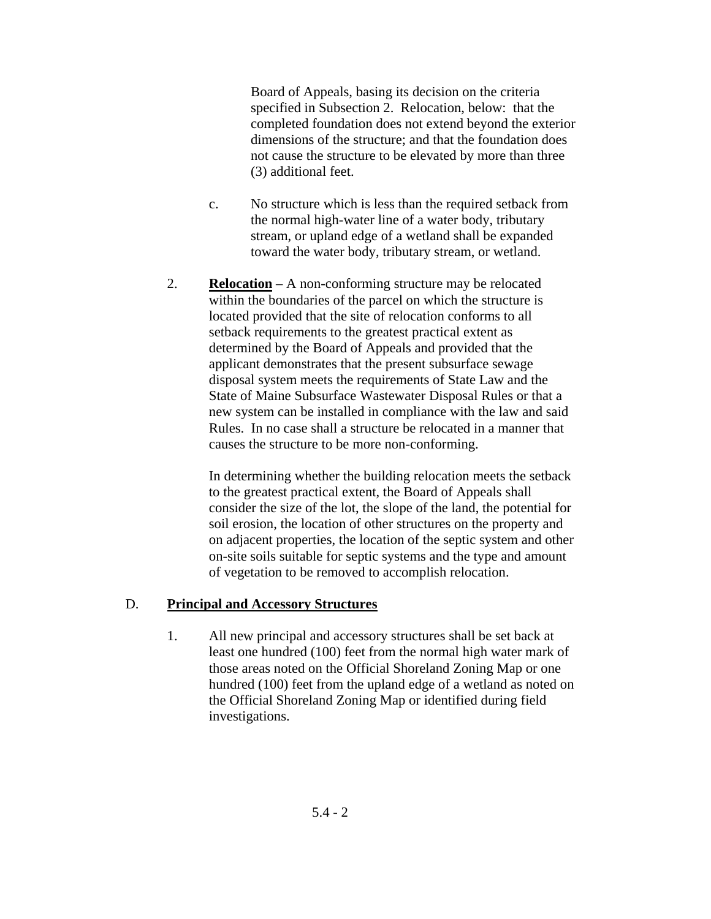Board of Appeals, basing its decision on the criteria specified in Subsection 2. Relocation, below: that the completed foundation does not extend beyond the exterior dimensions of the structure; and that the foundation does not cause the structure to be elevated by more than three (3) additional feet.

- c. No structure which is less than the required setback from the normal high-water line of a water body, tributary stream, or upland edge of a wetland shall be expanded toward the water body, tributary stream, or wetland.
- 2. **Relocation** A non-conforming structure may be relocated within the boundaries of the parcel on which the structure is located provided that the site of relocation conforms to all setback requirements to the greatest practical extent as determined by the Board of Appeals and provided that the applicant demonstrates that the present subsurface sewage disposal system meets the requirements of State Law and the State of Maine Subsurface Wastewater Disposal Rules or that a new system can be installed in compliance with the law and said Rules. In no case shall a structure be relocated in a manner that causes the structure to be more non-conforming.

In determining whether the building relocation meets the setback to the greatest practical extent, the Board of Appeals shall consider the size of the lot, the slope of the land, the potential for soil erosion, the location of other structures on the property and on adjacent properties, the location of the septic system and other on-site soils suitable for septic systems and the type and amount of vegetation to be removed to accomplish relocation.

#### D. **Principal and Accessory Structures**

1. All new principal and accessory structures shall be set back at least one hundred (100) feet from the normal high water mark of those areas noted on the Official Shoreland Zoning Map or one hundred (100) feet from the upland edge of a wetland as noted on the Official Shoreland Zoning Map or identified during field investigations.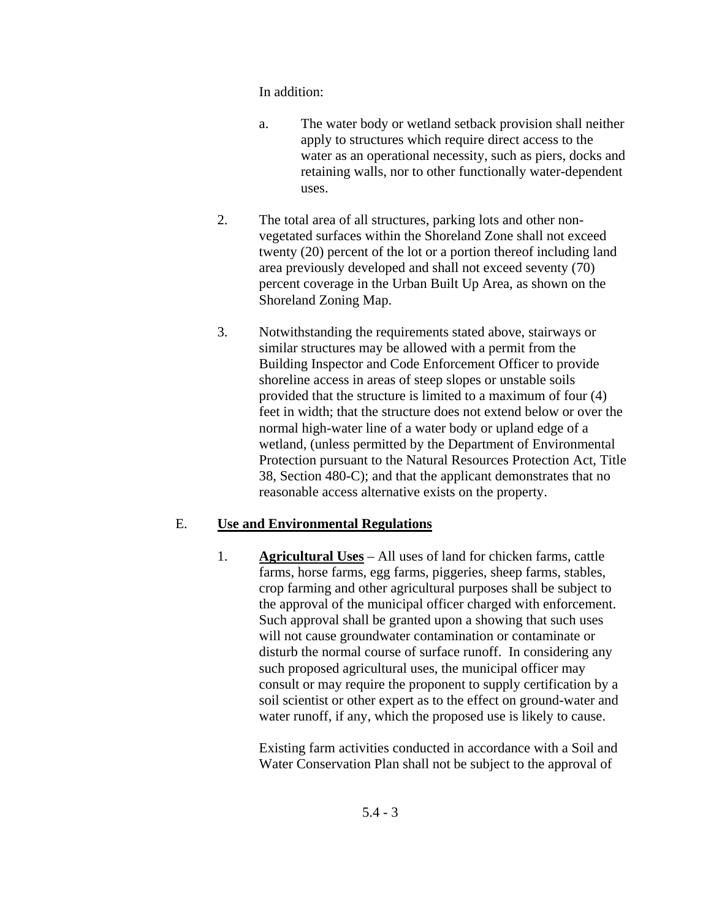In addition:

- a. The water body or wetland setback provision shall neither apply to structures which require direct access to the water as an operational necessity, such as piers, docks and retaining walls, nor to other functionally water-dependent uses.
- 2. The total area of all structures, parking lots and other nonvegetated surfaces within the Shoreland Zone shall not exceed twenty (20) percent of the lot or a portion thereof including land area previously developed and shall not exceed seventy (70) percent coverage in the Urban Built Up Area, as shown on the Shoreland Zoning Map.
- 3. Notwithstanding the requirements stated above, stairways or similar structures may be allowed with a permit from the Building Inspector and Code Enforcement Officer to provide shoreline access in areas of steep slopes or unstable soils provided that the structure is limited to a maximum of four (4) feet in width; that the structure does not extend below or over the normal high-water line of a water body or upland edge of a wetland, (unless permitted by the Department of Environmental Protection pursuant to the Natural Resources Protection Act, Title 38, Section 480-C); and that the applicant demonstrates that no reasonable access alternative exists on the property.

## E. **Use and Environmental Regulations**

1. **Agricultural Uses** – All uses of land for chicken farms, cattle farms, horse farms, egg farms, piggeries, sheep farms, stables, crop farming and other agricultural purposes shall be subject to the approval of the municipal officer charged with enforcement. Such approval shall be granted upon a showing that such uses will not cause groundwater contamination or contaminate or disturb the normal course of surface runoff. In considering any such proposed agricultural uses, the municipal officer may consult or may require the proponent to supply certification by a soil scientist or other expert as to the effect on ground-water and water runoff, if any, which the proposed use is likely to cause.

> Existing farm activities conducted in accordance with a Soil and Water Conservation Plan shall not be subject to the approval of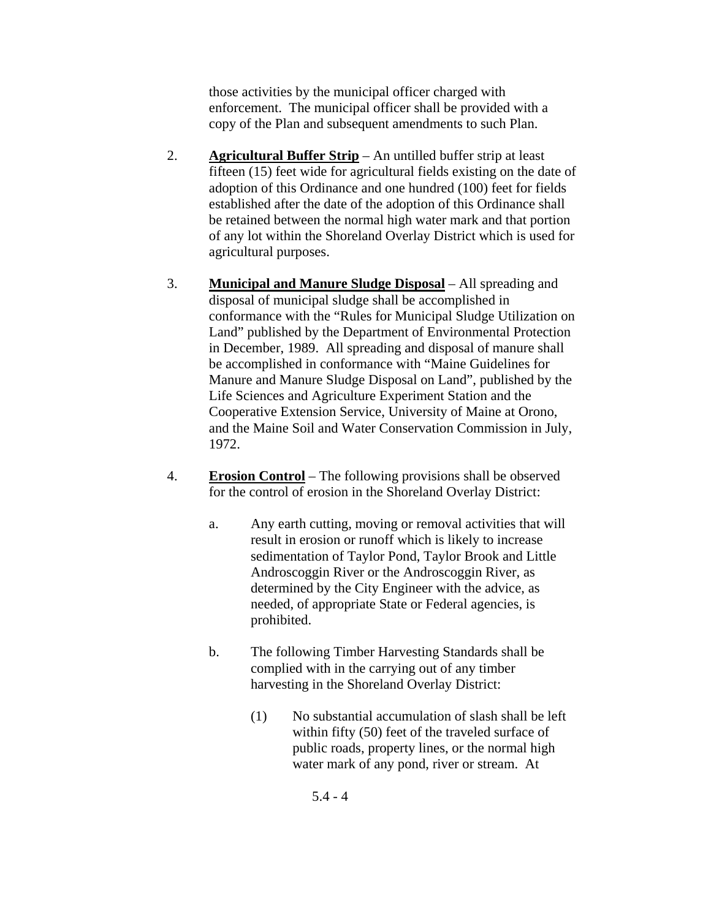those activities by the municipal officer charged with enforcement. The municipal officer shall be provided with a copy of the Plan and subsequent amendments to such Plan.

- 2. **Agricultural Buffer Strip** An untilled buffer strip at least fifteen (15) feet wide for agricultural fields existing on the date of adoption of this Ordinance and one hundred (100) feet for fields established after the date of the adoption of this Ordinance shall be retained between the normal high water mark and that portion of any lot within the Shoreland Overlay District which is used for agricultural purposes.
- 3. **Municipal and Manure Sludge Disposal** All spreading and disposal of municipal sludge shall be accomplished in conformance with the "Rules for Municipal Sludge Utilization on Land" published by the Department of Environmental Protection in December, 1989. All spreading and disposal of manure shall be accomplished in conformance with "Maine Guidelines for Manure and Manure Sludge Disposal on Land", published by the Life Sciences and Agriculture Experiment Station and the Cooperative Extension Service, University of Maine at Orono, and the Maine Soil and Water Conservation Commission in July, 1972.
- 4. **Erosion Control** The following provisions shall be observed for the control of erosion in the Shoreland Overlay District:
	- a. Any earth cutting, moving or removal activities that will result in erosion or runoff which is likely to increase sedimentation of Taylor Pond, Taylor Brook and Little Androscoggin River or the Androscoggin River, as determined by the City Engineer with the advice, as needed, of appropriate State or Federal agencies, is prohibited.
	- b. The following Timber Harvesting Standards shall be complied with in the carrying out of any timber harvesting in the Shoreland Overlay District:
		- (1) No substantial accumulation of slash shall be left within fifty (50) feet of the traveled surface of public roads, property lines, or the normal high water mark of any pond, river or stream. At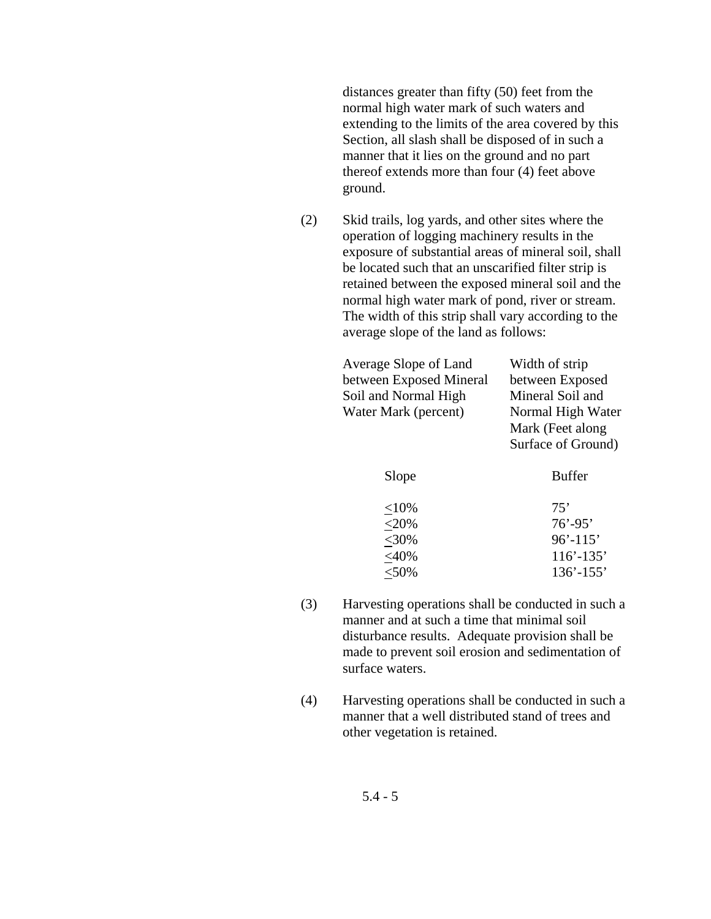distances greater than fifty (50) feet from the normal high water mark of such waters and extending to the limits of the area covered by this Section, all slash shall be disposed of in such a manner that it lies on the ground and no part thereof extends more than four (4) feet above ground.

(2) Skid trails, log yards, and other sites where the operation of logging machinery results in the exposure of substantial areas of mineral soil, shall be located such that an unscarified filter strip is retained between the exposed mineral soil and the normal high water mark of pond, river or stream. The width of this strip shall vary according to the average slope of the land as follows:

| Average Slope of Land                    | Width of strip     |  |
|------------------------------------------|--------------------|--|
| between Exposed Mineral                  | between Exposed    |  |
| Mineral Soil and<br>Soil and Normal High |                    |  |
| Water Mark (percent)                     | Normal High Water  |  |
|                                          | Mark (Feet along   |  |
|                                          | Surface of Ground) |  |
| Slope                                    | Buffer             |  |
| ${<}10\%$                                | 75'                |  |
| $<$ 20%                                  | $76' - 95'$        |  |
| $<$ 30%                                  | $96' - 115'$       |  |
| $<$ 40%                                  | $116' - 135'$      |  |
| $<$ 50%                                  | $136' - 155'$      |  |

- (3) Harvesting operations shall be conducted in such a manner and at such a time that minimal soil disturbance results. Adequate provision shall be made to prevent soil erosion and sedimentation of surface waters.
- (4) Harvesting operations shall be conducted in such a manner that a well distributed stand of trees and other vegetation is retained.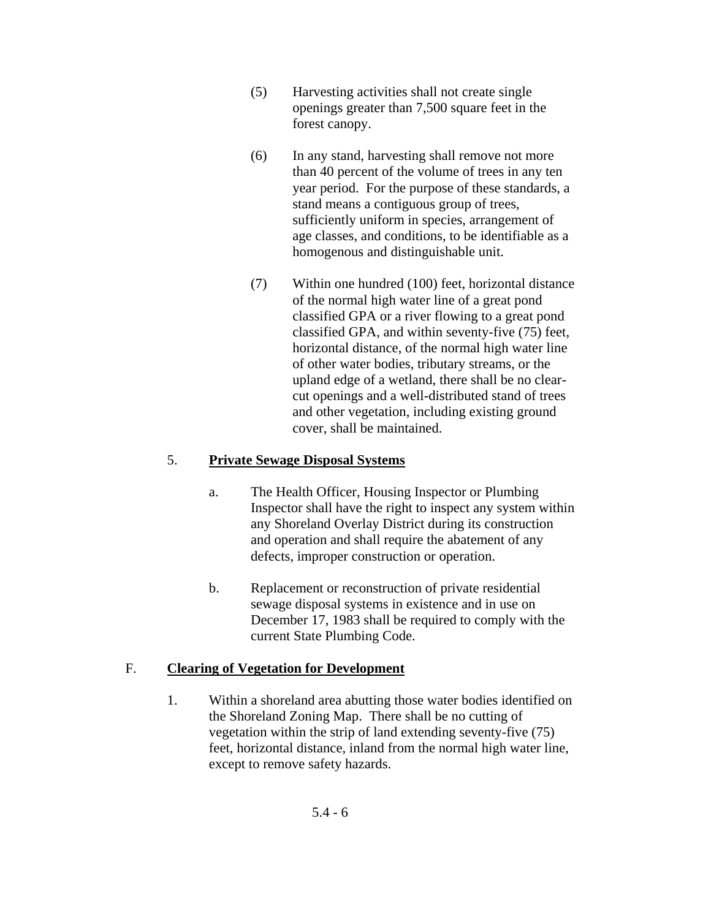- (5) Harvesting activities shall not create single openings greater than 7,500 square feet in the forest canopy.
- (6) In any stand, harvesting shall remove not more than 40 percent of the volume of trees in any ten year period. For the purpose of these standards, a stand means a contiguous group of trees, sufficiently uniform in species, arrangement of age classes, and conditions, to be identifiable as a homogenous and distinguishable unit.
- (7) Within one hundred (100) feet, horizontal distance of the normal high water line of a great pond classified GPA or a river flowing to a great pond classified GPA, and within seventy-five (75) feet, horizontal distance, of the normal high water line of other water bodies, tributary streams, or the upland edge of a wetland, there shall be no clearcut openings and a well-distributed stand of trees and other vegetation, including existing ground cover, shall be maintained.

## 5. **Private Sewage Disposal Systems**

- a. The Health Officer, Housing Inspector or Plumbing Inspector shall have the right to inspect any system within any Shoreland Overlay District during its construction and operation and shall require the abatement of any defects, improper construction or operation.
- b. Replacement or reconstruction of private residential sewage disposal systems in existence and in use on December 17, 1983 shall be required to comply with the current State Plumbing Code.

# F. **Clearing of Vegetation for Development**

1. Within a shoreland area abutting those water bodies identified on the Shoreland Zoning Map. There shall be no cutting of vegetation within the strip of land extending seventy-five (75) feet, horizontal distance, inland from the normal high water line, except to remove safety hazards.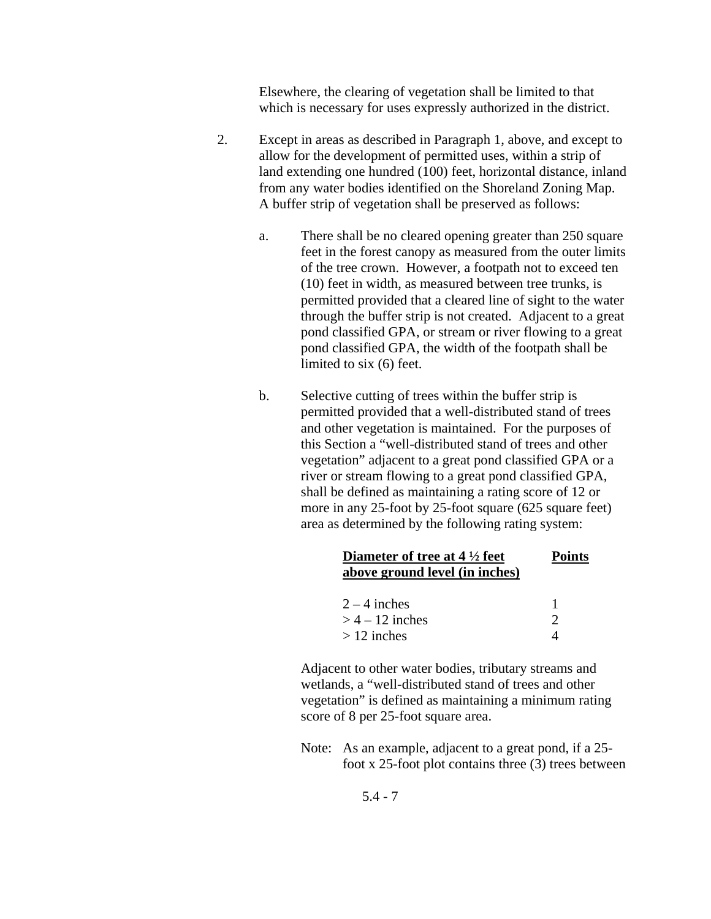Elsewhere, the clearing of vegetation shall be limited to that which is necessary for uses expressly authorized in the district.

- 2. Except in areas as described in Paragraph 1, above, and except to allow for the development of permitted uses, within a strip of land extending one hundred (100) feet, horizontal distance, inland from any water bodies identified on the Shoreland Zoning Map. A buffer strip of vegetation shall be preserved as follows:
	- a. There shall be no cleared opening greater than 250 square feet in the forest canopy as measured from the outer limits of the tree crown. However, a footpath not to exceed ten (10) feet in width, as measured between tree trunks, is permitted provided that a cleared line of sight to the water through the buffer strip is not created. Adjacent to a great pond classified GPA, or stream or river flowing to a great pond classified GPA, the width of the footpath shall be limited to six (6) feet.
	- b. Selective cutting of trees within the buffer strip is permitted provided that a well-distributed stand of trees and other vegetation is maintained. For the purposes of this Section a "well-distributed stand of trees and other vegetation" adjacent to a great pond classified GPA or a river or stream flowing to a great pond classified GPA, shall be defined as maintaining a rating score of 12 or more in any 25-foot by 25-foot square (625 square feet) area as determined by the following rating system:

| Diameter of tree at $4\frac{1}{2}$ feet<br>above ground level (in inches) | <b>Points</b> |
|---------------------------------------------------------------------------|---------------|
| $2 - 4$ inches                                                            |               |
| $>$ 4 – 12 inches                                                         |               |
| $> 12$ inches                                                             |               |

 Adjacent to other water bodies, tributary streams and wetlands, a "well-distributed stand of trees and other vegetation" is defined as maintaining a minimum rating score of 8 per 25-foot square area.

Note: As an example, adjacent to a great pond, if a 25 foot x 25-foot plot contains three (3) trees between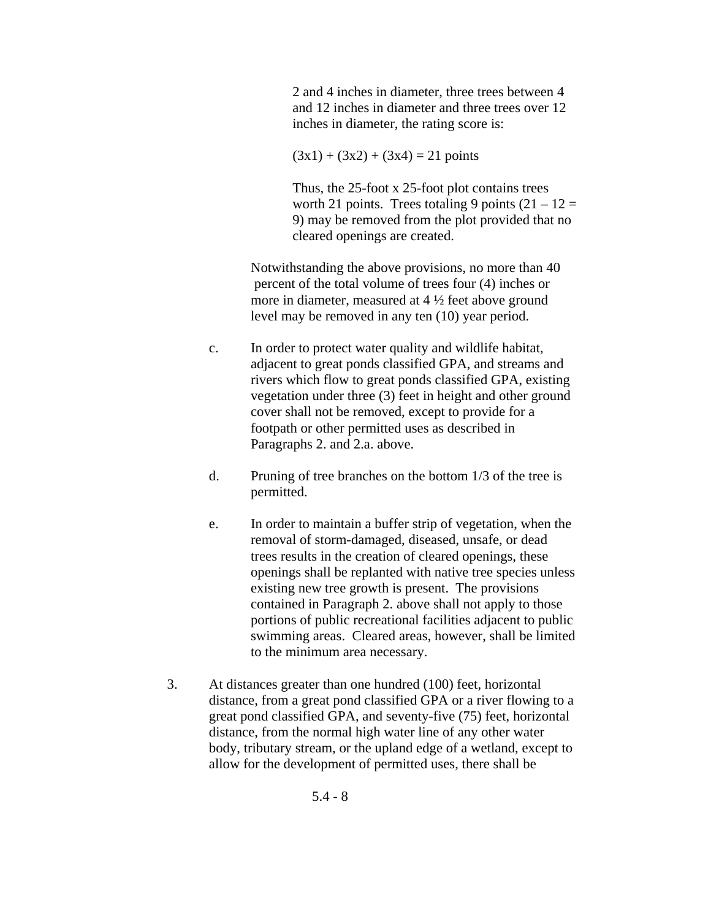2 and 4 inches in diameter, three trees between 4 and 12 inches in diameter and three trees over 12 inches in diameter, the rating score is:

 $(3x1) + (3x2) + (3x4) = 21$  points

 Thus, the 25-foot x 25-foot plot contains trees worth 21 points. Trees totaling 9 points  $(21 – 12 =$ 9) may be removed from the plot provided that no cleared openings are created.

Notwithstanding the above provisions, no more than 40 percent of the total volume of trees four (4) inches or more in diameter, measured at 4 ½ feet above ground level may be removed in any ten (10) year period.

- c. In order to protect water quality and wildlife habitat, adjacent to great ponds classified GPA, and streams and rivers which flow to great ponds classified GPA, existing vegetation under three (3) feet in height and other ground cover shall not be removed, except to provide for a footpath or other permitted uses as described in Paragraphs 2. and 2.a. above.
- d. Pruning of tree branches on the bottom 1/3 of the tree is permitted.
- e. In order to maintain a buffer strip of vegetation, when the removal of storm-damaged, diseased, unsafe, or dead trees results in the creation of cleared openings, these openings shall be replanted with native tree species unless existing new tree growth is present. The provisions contained in Paragraph 2. above shall not apply to those portions of public recreational facilities adjacent to public swimming areas. Cleared areas, however, shall be limited to the minimum area necessary.
- 3. At distances greater than one hundred (100) feet, horizontal distance, from a great pond classified GPA or a river flowing to a great pond classified GPA, and seventy-five (75) feet, horizontal distance, from the normal high water line of any other water body, tributary stream, or the upland edge of a wetland, except to allow for the development of permitted uses, there shall be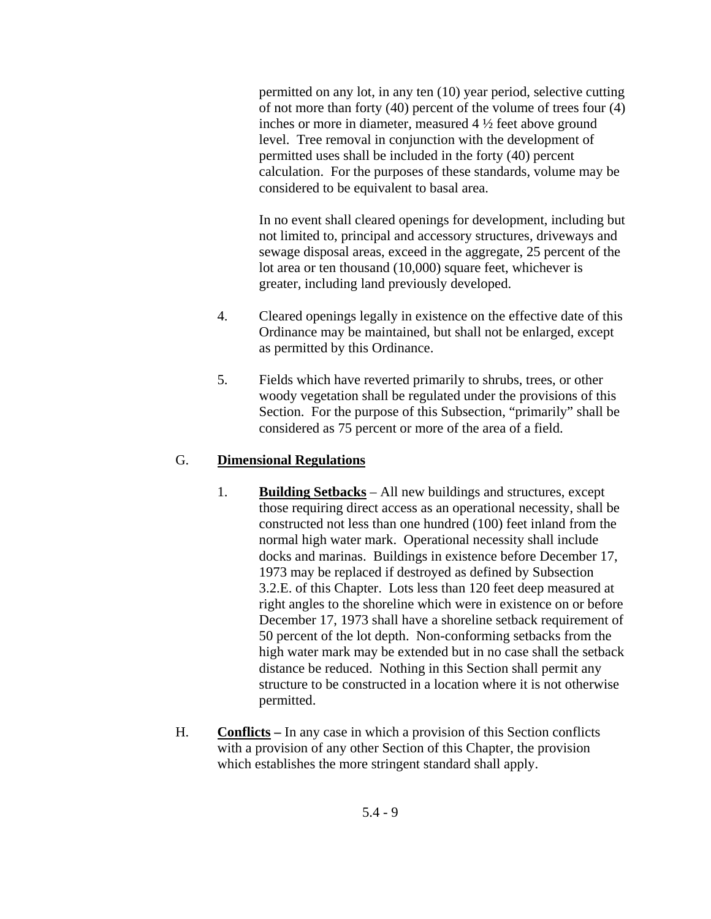permitted on any lot, in any ten (10) year period, selective cutting of not more than forty (40) percent of the volume of trees four (4) inches or more in diameter, measured 4 ½ feet above ground level. Tree removal in conjunction with the development of permitted uses shall be included in the forty (40) percent calculation. For the purposes of these standards, volume may be considered to be equivalent to basal area.

 In no event shall cleared openings for development, including but not limited to, principal and accessory structures, driveways and sewage disposal areas, exceed in the aggregate, 25 percent of the lot area or ten thousand (10,000) square feet, whichever is greater, including land previously developed.

- 4. Cleared openings legally in existence on the effective date of this Ordinance may be maintained, but shall not be enlarged, except as permitted by this Ordinance.
- 5. Fields which have reverted primarily to shrubs, trees, or other woody vegetation shall be regulated under the provisions of this Section. For the purpose of this Subsection, "primarily" shall be considered as 75 percent or more of the area of a field.

#### G. **Dimensional Regulations**

- 1. **Building Setbacks** All new buildings and structures, except those requiring direct access as an operational necessity, shall be constructed not less than one hundred (100) feet inland from the normal high water mark. Operational necessity shall include docks and marinas. Buildings in existence before December 17, 1973 may be replaced if destroyed as defined by Subsection 3.2.E. of this Chapter. Lots less than 120 feet deep measured at right angles to the shoreline which were in existence on or before December 17, 1973 shall have a shoreline setback requirement of 50 percent of the lot depth. Non-conforming setbacks from the high water mark may be extended but in no case shall the setback distance be reduced. Nothing in this Section shall permit any structure to be constructed in a location where it is not otherwise permitted.
- H. **Conflicts** In any case in which a provision of this Section conflicts with a provision of any other Section of this Chapter, the provision which establishes the more stringent standard shall apply.